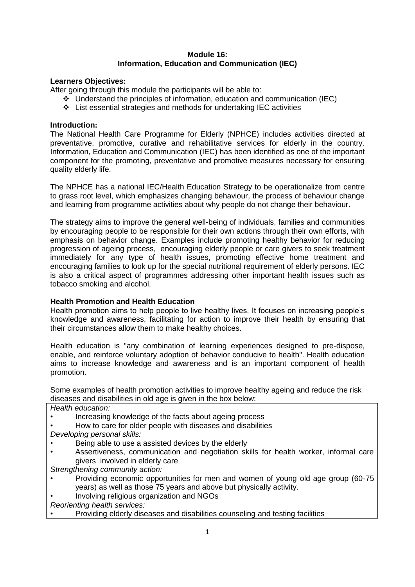# **Module 16: Information, Education and Communication (IEC)**

# **Learners Objectives:**

After going through this module the participants will be able to:

- ❖ Understand the principles of information, education and communication (IEC)
- ❖ List essential strategies and methods for undertaking IEC activities

#### **Introduction:**

The National Health Care Programme for Elderly (NPHCE) includes activities directed at preventative, promotive, curative and rehabilitative services for elderly in the country. Information, Education and Communication (IEC) has been identified as one of the important component for the promoting, preventative and promotive measures necessary for ensuring quality elderly life.

The NPHCE has a national IEC/Health Education Strategy to be operationalize from centre to grass root level, which emphasizes changing behaviour, the process of behaviour change and learning from programme activities about why people do not change their behaviour.

The strategy aims to improve the general well-being of individuals, families and communities by encouraging people to be responsible for their own actions through their own efforts, with emphasis on behavior change. Examples include promoting healthy behavior for reducing progression of ageing process, encouraging elderly people or care givers to seek treatment immediately for any type of health issues, promoting effective home treatment and encouraging families to look up for the special nutritional requirement of elderly persons. IEC is also a critical aspect of programmes addressing other important health issues such as tobacco smoking and alcohol.

# **Health Promotion and Health Education**

Health promotion aims to help people to live healthy lives. It focuses on increasing people's knowledge and awareness, facilitating for action to improve their health by ensuring that their circumstances allow them to make healthy choices.

Health education is "any combination of learning experiences designed to pre-dispose, enable, and reinforce voluntary adoption of behavior conducive to health". Health education aims to increase knowledge and awareness and is an important component of health promotion.

Some examples of health promotion activities to improve healthy ageing and reduce the risk diseases and disabilities in old age is given in the box below:

*Health education:*

- Increasing knowledge of the facts about ageing process
- How to care for older people with diseases and disabilities

*Developing personal skills:*

- Being able to use a assisted devices by the elderly
- Assertiveness, communication and negotiation skills for health worker, informal care givers involved in elderly care

*Strengthening community action:*

- Providing economic opportunities for men and women of young old age group (60-75 years) as well as those 75 years and above but physically activity.
- Involving religious organization and NGOs

*Reorienting health services:*

• Providing elderly diseases and disabilities counseling and testing facilities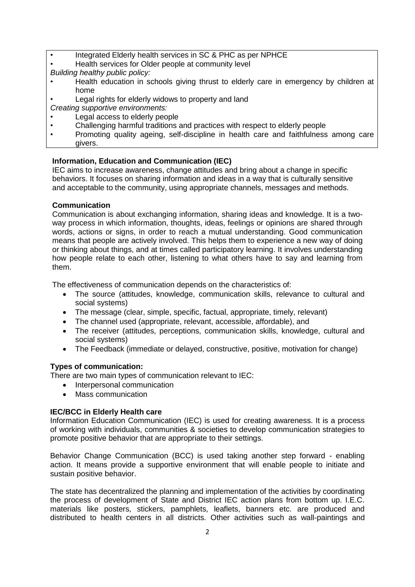- Integrated Elderly health services in SC & PHC as per NPHCE
- Health services for Older people at community level
- *Building healthy public policy:*
- Health education in schools giving thrust to elderly care in emergency by children at home
- Legal rights for elderly widows to property and land
- *Creating supportive environments:*
- Legal access to elderly people
- Challenging harmful traditions and practices with respect to elderly people
- Promoting quality ageing, self-discipline in health care and faithfulness among care givers.

# **Information, Education and Communication (IEC)**

IEC aims to increase awareness, change attitudes and bring about a change in specific behaviors. It focuses on sharing information and ideas in a way that is culturally sensitive and acceptable to the community, using appropriate channels, messages and methods.

# **Communication**

Communication is about exchanging information, sharing ideas and knowledge. It is a twoway process in which information, thoughts, ideas, feelings or opinions are shared through words, actions or signs, in order to reach a mutual understanding. Good communication means that people are actively involved. This helps them to experience a new way of doing or thinking about things, and at times called participatory learning. It involves understanding how people relate to each other, listening to what others have to say and learning from them.

The effectiveness of communication depends on the characteristics of:

- The source (attitudes, knowledge, communication skills, relevance to cultural and social systems)
- The message (clear, simple, specific, factual, appropriate, timely, relevant)
- The channel used (appropriate, relevant, accessible, affordable), and
- The receiver (attitudes, perceptions, communication skills, knowledge, cultural and social systems)
- The Feedback (immediate or delayed, constructive, positive, motivation for change)

# **Types of communication:**

There are two main types of communication relevant to IEC:

- Interpersonal communication
- Mass communication

# **IEC/BCC in Elderly Health care**

Information Education Communication (IEC) is used for creating awareness. It is a process of working with individuals, communities & societies to develop communication strategies to promote positive behavior that are appropriate to their settings.

Behavior Change Communication (BCC) is used taking another step forward - enabling action. It means provide a supportive environment that will enable people to initiate and sustain positive behavior.

The state has decentralized the planning and implementation of the activities by coordinating the process of development of State and District IEC action plans from bottom up. I.E.C. materials like posters, stickers, pamphlets, leaflets, banners etc. are produced and distributed to health centers in all districts. Other activities such as wall-paintings and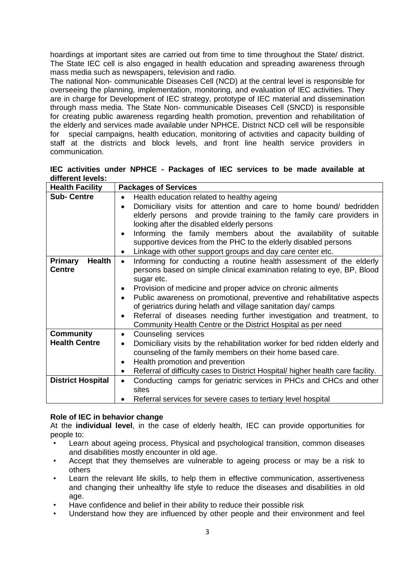hoardings at important sites are carried out from time to time throughout the State/ district. The State IEC cell is also engaged in health education and spreading awareness through mass media such as newspapers, television and radio.

The national Non- communicable Diseases Cell (NCD) at the central level is responsible for overseeing the planning, implementation, monitoring, and evaluation of IEC activities. They are in charge for Development of IEC strategy, prototype of IEC material and dissemination through mass media. The State Non- communicable Diseases Cell (SNCD) is responsible for creating public awareness regarding health promotion, prevention and rehabilitation of the elderly and services made available under NPHCE. District NCD cell will be responsible for special campaigns, health education, monitoring of activities and capacity building of staff at the districts and block levels, and front line health service providers in communication.

|                   |  | IEC activities under NPHCE - Packages of IEC services to be made available at |  |  |  |  |
|-------------------|--|-------------------------------------------------------------------------------|--|--|--|--|
| different levels: |  |                                                                               |  |  |  |  |

| <b>Health Facility</b>          | <b>Packages of Services</b>                                                                  |  |  |  |  |  |
|---------------------------------|----------------------------------------------------------------------------------------------|--|--|--|--|--|
| <b>Sub-Centre</b>               | Health education related to healthy ageing<br>$\bullet$                                      |  |  |  |  |  |
|                                 | Domiciliary visits for attention and care to home bound/ bedridden                           |  |  |  |  |  |
|                                 | elderly persons and provide training to the family care providers in                         |  |  |  |  |  |
|                                 | looking after the disabled elderly persons                                                   |  |  |  |  |  |
|                                 | Informing the family members about the availability of suitable                              |  |  |  |  |  |
|                                 | supportive devices from the PHC to the elderly disabled persons                              |  |  |  |  |  |
|                                 | Linkage with other support groups and day care center etc.<br>$\bullet$                      |  |  |  |  |  |
| <b>Health</b><br><b>Primary</b> | Informing for conducting a routine health assessment of the elderly<br>$\bullet$             |  |  |  |  |  |
| <b>Centre</b>                   | persons based on simple clinical examination relating to eye, BP, Blood                      |  |  |  |  |  |
|                                 | sugar etc.                                                                                   |  |  |  |  |  |
|                                 | Provision of medicine and proper advice on chronic ailments                                  |  |  |  |  |  |
|                                 | Public awareness on promotional, preventive and rehabilitative aspects                       |  |  |  |  |  |
|                                 | of geriatrics during helath and village sanitation day/ camps                                |  |  |  |  |  |
|                                 | Referral of diseases needing further investigation and treatment, to                         |  |  |  |  |  |
|                                 | Community Health Centre or the District Hospital as per need                                 |  |  |  |  |  |
| <b>Community</b>                | Counseling services                                                                          |  |  |  |  |  |
| <b>Health Centre</b>            | Domiciliary visits by the rehabilitation worker for bed ridden elderly and                   |  |  |  |  |  |
|                                 | counseling of the family members on their home based care.                                   |  |  |  |  |  |
|                                 | Health promotion and prevention<br>$\bullet$                                                 |  |  |  |  |  |
|                                 | Referral of difficulty cases to District Hospital/ higher health care facility.<br>$\bullet$ |  |  |  |  |  |
| <b>District Hospital</b>        | Conducting camps for geriatric services in PHCs and CHCs and other<br>$\bullet$              |  |  |  |  |  |
|                                 | sites                                                                                        |  |  |  |  |  |
|                                 | Referral services for severe cases to tertiary level hospital                                |  |  |  |  |  |

#### **Role of IEC in behavior change**

At the **individual level**, in the case of elderly health, IEC can provide opportunities for people to:

- Learn about ageing process, Physical and psychological transition, common diseases and disabilities mostly encounter in old age.
- Accept that they themselves are vulnerable to ageing process or may be a risk to others
- Learn the relevant life skills, to help them in effective communication, assertiveness and changing their unhealthy life style to reduce the diseases and disabilities in old age.
- Have confidence and belief in their ability to reduce their possible risk
- Understand how they are influenced by other people and their environment and feel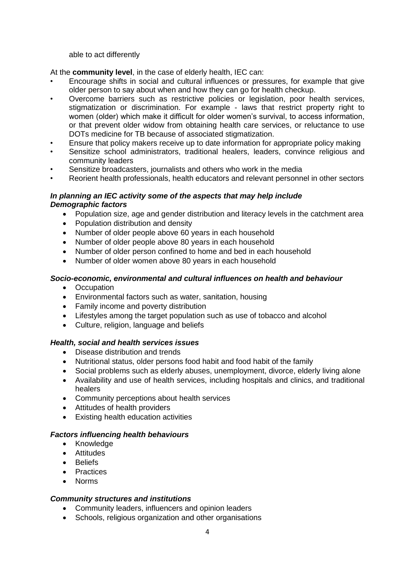able to act differently

At the **community level**, in the case of elderly health, IEC can:

- Encourage shifts in social and cultural influences or pressures, for example that give older person to say about when and how they can go for health checkup.
- Overcome barriers such as restrictive policies or legislation, poor health services, stigmatization or discrimination. For example - laws that restrict property right to women (older) which make it difficult for older women's survival, to access information, or that prevent older widow from obtaining health care services, or reluctance to use DOTs medicine for TB because of associated stigmatization.
- Ensure that policy makers receive up to date information for appropriate policy making
- Sensitize school administrators, traditional healers, leaders, convince religious and community leaders
- Sensitize broadcasters, journalists and others who work in the media
- Reorient health professionals, health educators and relevant personnel in other sectors

# *In planning an IEC activity some of the aspects that may help include Demographic factors*

- Population size, age and gender distribution and literacy levels in the catchment area
- Population distribution and density
- Number of older people above 60 years in each household
- Number of older people above 80 years in each household
- Number of older person confined to home and bed in each household
- Number of older women above 80 years in each household

# *Socio-economic, environmental and cultural influences on health and behaviour*

- Occupation
- Environmental factors such as water, sanitation, housing
- Family income and poverty distribution
- Lifestyles among the target population such as use of tobacco and alcohol
- Culture, religion, language and beliefs

# *Health, social and health services issues*

- Disease distribution and trends
- Nutritional status, older persons food habit and food habit of the family
- Social problems such as elderly abuses, unemployment, divorce, elderly living alone
- Availability and use of health services, including hospitals and clinics, and traditional healers
- Community perceptions about health services
- Attitudes of health providers
- Existing health education activities

# *Factors influencing health behaviours*

- Knowledge
- Attitudes
- Beliefs
- Practices
- Norms

# *Community structures and institutions*

- Community leaders, influencers and opinion leaders
- Schools, religious organization and other organisations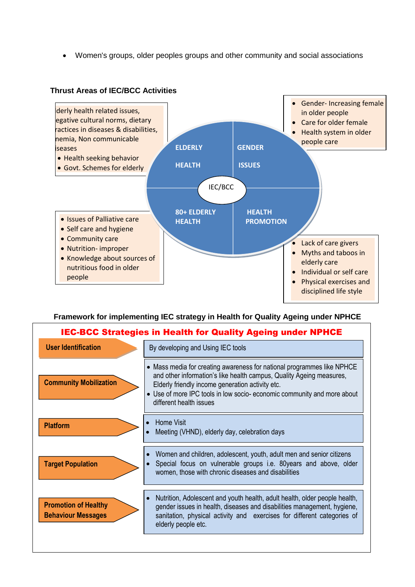• Women's groups, older peoples groups and other community and social associations



# **Thrust Areas of IEC/BCC Activities**

# **Framework for implementing IEC strategy in Health for Quality Ageing under NPHCE**

| <b>IEC-BCC Strategies in Health for Quality Ageing under NPHCE</b> |                                                                                                                                                                                                                                                                                                         |  |  |  |  |
|--------------------------------------------------------------------|---------------------------------------------------------------------------------------------------------------------------------------------------------------------------------------------------------------------------------------------------------------------------------------------------------|--|--|--|--|
| <b>User Identification</b>                                         | By developing and Using IEC tools                                                                                                                                                                                                                                                                       |  |  |  |  |
| <b>Community Mobilization</b>                                      | • Mass media for creating awareness for national programmes like NPHCE<br>and other information's like health campus, Quality Ageing measures,<br>Elderly friendly income generation activity etc.<br>• Use of more IPC tools in low socio-economic community and more about<br>different health issues |  |  |  |  |
| <b>Platform</b>                                                    | <b>Home Visit</b><br>$\bullet$<br>Meeting (VHND), elderly day, celebration days<br>$\bullet$                                                                                                                                                                                                            |  |  |  |  |
| <b>Target Population</b>                                           | Women and children, adolescent, youth, adult men and senior citizens<br>$\bullet$<br>Special focus on vulnerable groups i.e. 80years and above, older<br>women, those with chronic diseases and disabilities                                                                                            |  |  |  |  |
| <b>Promotion of Healthy</b><br><b>Behaviour Messages</b>           | Nutrition, Adolescent and youth health, adult health, older people health,<br>$\bullet$<br>gender issues in health, diseases and disabilities management, hygiene,<br>sanitation, physical activity and exercises for different categories of<br>elderly people etc.                                    |  |  |  |  |
|                                                                    |                                                                                                                                                                                                                                                                                                         |  |  |  |  |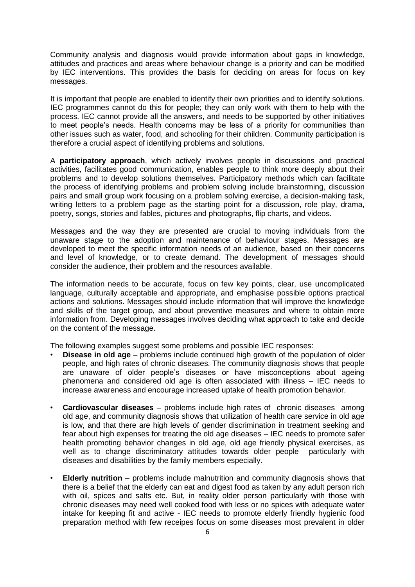Community analysis and diagnosis would provide information about gaps in knowledge, attitudes and practices and areas where behaviour change is a priority and can be modified by IEC interventions. This provides the basis for deciding on areas for focus on key messages.

It is important that people are enabled to identify their own priorities and to identify solutions. IEC programmes cannot do this for people; they can only work with them to help with the process. IEC cannot provide all the answers, and needs to be supported by other initiatives to meet people's needs. Health concerns may be less of a priority for communities than other issues such as water, food, and schooling for their children. Community participation is therefore a crucial aspect of identifying problems and solutions.

A **participatory approach**, which actively involves people in discussions and practical activities, facilitates good communication, enables people to think more deeply about their problems and to develop solutions themselves. Participatory methods which can facilitate the process of identifying problems and problem solving include brainstorming, discussion pairs and small group work focusing on a problem solving exercise, a decision-making task, writing letters to a problem page as the starting point for a discussion, role play, drama, poetry, songs, stories and fables, pictures and photographs, flip charts, and videos.

Messages and the way they are presented are crucial to moving individuals from the unaware stage to the adoption and maintenance of behaviour stages. Messages are developed to meet the specific information needs of an audience, based on their concerns and level of knowledge, or to create demand. The development of messages should consider the audience, their problem and the resources available.

The information needs to be accurate, focus on few key points, clear, use uncomplicated language, culturally acceptable and appropriate, and emphasise possible options practical actions and solutions. Messages should include information that will improve the knowledge and skills of the target group, and about preventive measures and where to obtain more information from. Developing messages involves deciding what approach to take and decide on the content of the message.

The following examples suggest some problems and possible IEC responses:

- **Disease in old age** problems include continued high growth of the population of older people, and high rates of chronic diseases. The community diagnosis shows that people are unaware of older people's diseases or have misconceptions about ageing phenomena and considered old age is often associated with illness – IEC needs to increase awareness and encourage increased uptake of health promotion behavior.
- **Cardiovascular diseases** problems include high rates of chronic diseases among old age, and community diagnosis shows that utilization of health care service in old age is low, and that there are high levels of gender discrimination in treatment seeking and fear about high expenses for treating the old age diseases – IEC needs to promote safer health promoting behavior changes in old age, old age friendly physical exercises, as well as to change discriminatory attitudes towards older people particularly with diseases and disabilities by the family members especially.
- **Elderly nutrition** problems include malnutrition and community diagnosis shows that there is a belief that the elderly can eat and digest food as taken by any adult person rich with oil, spices and salts etc. But, in reality older person particularly with those with chronic diseases may need well cooked food with less or no spices with adequate water intake for keeping fit and active - IEC needs to promote elderly friendly hygienic food preparation method with few receipes focus on some diseases most prevalent in older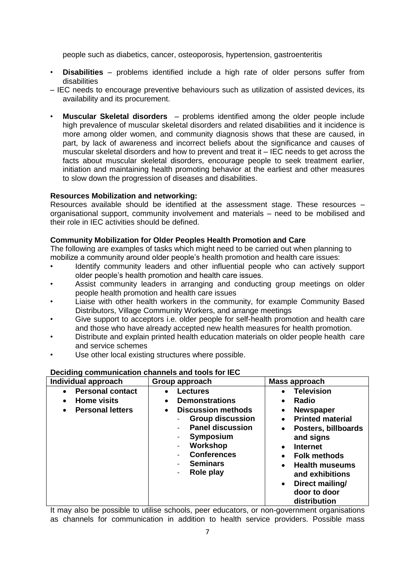people such as diabetics, cancer, osteoporosis, hypertension, gastroenteritis

- **Disabilities** problems identified include a high rate of older persons suffer from disabilities
- IEC needs to encourage preventive behaviours such as utilization of assisted devices, its availability and its procurement.
- **Muscular Skeletal disorders** problems identified among the older people include high prevalence of muscular skeletal disorders and related disabilities and it incidence is more among older women, and community diagnosis shows that these are caused, in part, by lack of awareness and incorrect beliefs about the significance and causes of muscular skeletal disorders and how to prevent and treat it – IEC needs to get across the facts about muscular skeletal disorders, encourage people to seek treatment earlier, initiation and maintaining health promoting behavior at the earliest and other measures to slow down the progression of diseases and disabilities.

#### **Resources Mobilization and networking:**

Resources available should be identified at the assessment stage. These resources – organisational support, community involvement and materials – need to be mobilised and their role in IEC activities should be defined.

#### **Community Mobilization for Older Peoples Health Promotion and Care**

The following are examples of tasks which might need to be carried out when planning to mobilize a community around older people's health promotion and health care issues:

- Identify community leaders and other influential people who can actively support older people's health promotion and health care issues.
- Assist community leaders in arranging and conducting group meetings on older people health promotion and health care issues
- Liaise with other health workers in the community, for example Community Based Distributors, Village Community Workers, and arrange meetings
- Give support to acceptors i.e. older people for self-health promotion and health care and those who have already accepted new health measures for health promotion.
- Distribute and explain printed health education materials on older people health care and service schemes
- Use other local existing structures where possible.

| Individual approach                                                                                             | Group approach                                                                                                                                                                                                                                         | Mass approach                                                                                                                                                                                                                                                                                                                                                               |  |  |
|-----------------------------------------------------------------------------------------------------------------|--------------------------------------------------------------------------------------------------------------------------------------------------------------------------------------------------------------------------------------------------------|-----------------------------------------------------------------------------------------------------------------------------------------------------------------------------------------------------------------------------------------------------------------------------------------------------------------------------------------------------------------------------|--|--|
| <b>Personal contact</b><br>$\bullet$<br><b>Home visits</b><br>$\bullet$<br><b>Personal letters</b><br>$\bullet$ | <b>Lectures</b><br>$\bullet$<br><b>Demonstrations</b><br>$\bullet$<br><b>Discussion methods</b><br>$\bullet$<br><b>Group discussion</b><br><b>Panel discussion</b><br>Symposium<br>Workshop<br><b>Conferences</b><br><b>Seminars</b><br>Role play<br>- | <b>Television</b><br>$\bullet$<br>Radio<br>$\bullet$<br><b>Newspaper</b><br>$\bullet$<br><b>Printed material</b><br>$\bullet$<br>Posters, billboards<br>$\bullet$<br>and signs<br><b>Internet</b><br>$\bullet$<br><b>Folk methods</b><br>$\bullet$<br><b>Health museums</b><br>$\bullet$<br>and exhibitions<br>Direct mailing/<br>$\bullet$<br>door to door<br>distribution |  |  |

#### **Deciding communication channels and tools for IEC**

It may also be possible to utilise schools, peer educators, or non-government organisations as channels for communication in addition to health service providers. Possible mass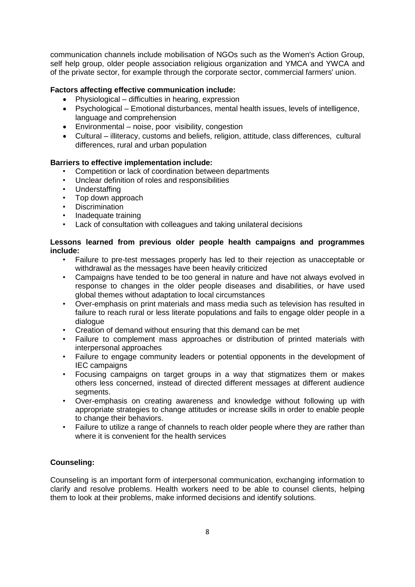communication channels include mobilisation of NGOs such as the Women's Action Group, self help group, older people association religious organization and YMCA and YWCA and of the private sector, for example through the corporate sector, commercial farmers' union.

# **Factors affecting effective communication include:**

- Physiological difficulties in hearing, expression
- Psychological Emotional disturbances, mental health issues, levels of intelligence, language and comprehension
- Environmental noise, poor visibility, congestion
- Cultural illiteracy, customs and beliefs, religion, attitude, class differences, cultural differences, rural and urban population

#### **Barriers to effective implementation include:**

- Competition or lack of coordination between departments
- Unclear definition of roles and responsibilities
- Understaffing
- Top down approach
- Discrimination
- Inadequate training
- Lack of consultation with colleagues and taking unilateral decisions

#### **Lessons learned from previous older people health campaigns and programmes include:**

- Failure to pre-test messages properly has led to their rejection as unacceptable or withdrawal as the messages have been heavily criticized
- Campaigns have tended to be too general in nature and have not always evolved in response to changes in the older people diseases and disabilities, or have used global themes without adaptation to local circumstances
- Over-emphasis on print materials and mass media such as television has resulted in failure to reach rural or less literate populations and fails to engage older people in a dialogue
- Creation of demand without ensuring that this demand can be met
- Failure to complement mass approaches or distribution of printed materials with interpersonal approaches
- Failure to engage community leaders or potential opponents in the development of IEC campaigns
- Focusing campaigns on target groups in a way that stigmatizes them or makes others less concerned, instead of directed different messages at different audience segments.
- Over-emphasis on creating awareness and knowledge without following up with appropriate strategies to change attitudes or increase skills in order to enable people to change their behaviors.
- Failure to utilize a range of channels to reach older people where they are rather than where it is convenient for the health services

# **Counseling:**

Counseling is an important form of interpersonal communication, exchanging information to clarify and resolve problems. Health workers need to be able to counsel clients, helping them to look at their problems, make informed decisions and identify solutions.